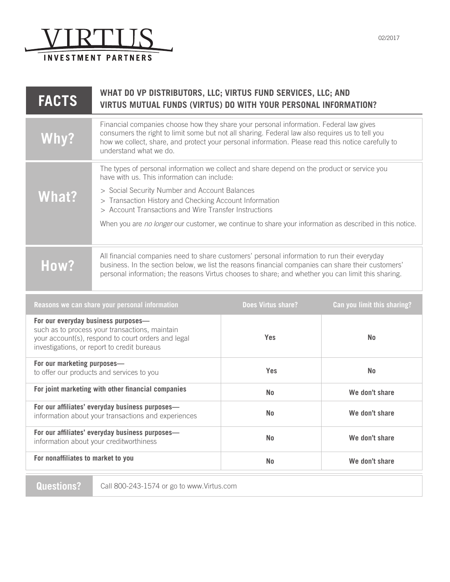

| <b>FACTS</b> | WHAT DO VP DISTRIBUTORS, LLC; VIRTUS FUND SERVICES, LLC; AND<br><b>VIRTUS MUTUAL FUNDS (VIRTUS) DO WITH YOUR PERSONAL INFORMATION?</b>                                                                                                                                                                                                                                                                                    |  |
|--------------|---------------------------------------------------------------------------------------------------------------------------------------------------------------------------------------------------------------------------------------------------------------------------------------------------------------------------------------------------------------------------------------------------------------------------|--|
|              | Financial companies choose how they share your personal information. Federal law gives<br>consumers the right to limit some but not all sharing. Federal law also requires us to tell you<br>how we collect, share, and protect your personal information. Please read this notice carefully to<br>understand what we do.                                                                                                 |  |
| What?        | The types of personal information we collect and share depend on the product or service you<br>have with us. This information can include:<br>> Social Security Number and Account Balances<br>> Transaction History and Checking Account Information<br>> Account Transactions and Wire Transfer Instructions<br>When you are no longer our customer, we continue to share your information as described in this notice. |  |
| How?         | All financial companies need to share customers' personal information to run their everyday<br>business. In the section below, we list the reasons financial companies can share their customers'<br>personal information; the reasons Virtus chooses to share; and whether you can limit this sharing.                                                                                                                   |  |

| Reasons we can share your personal information                                                                                                                                             | Does Virtus share? | Can you limit this sharing? |
|--------------------------------------------------------------------------------------------------------------------------------------------------------------------------------------------|--------------------|-----------------------------|
| For our everyday business purposes-<br>such as to process your transactions, maintain<br>your account(s), respond to court orders and legal<br>investigations, or report to credit bureaus | <b>Yes</b>         | <b>No</b>                   |
| For our marketing purposes-<br>to offer our products and services to you                                                                                                                   | <b>Yes</b>         | <b>No</b>                   |
| For joint marketing with other financial companies                                                                                                                                         | N <sub>0</sub>     | We don't share              |
| For our affiliates' everyday business purposes-<br>information about your transactions and experiences                                                                                     | N <sub>0</sub>     | We don't share              |
| For our affiliates' everyday business purposes-<br>information about your creditworthiness                                                                                                 | N <sub>0</sub>     | We don't share              |
| For nonaffiliates to market to you                                                                                                                                                         | <b>No</b>          | We don't share              |

**Questions?** Call 800-243-1574 or go to www.Virtus.com